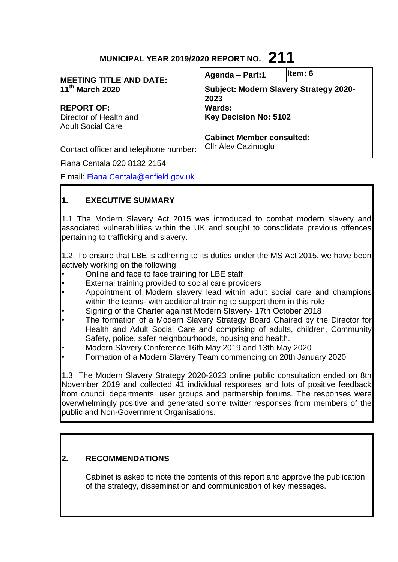# **MUNICIPAL YEAR 2019/2020 REPORT NO. 211**

| <b>MEETING TITLE AND DATE:</b>                     | Agenda - Part:1                                       | Item: 6 |
|----------------------------------------------------|-------------------------------------------------------|---------|
| 11 <sup>th</sup> March 2020                        | <b>Subject: Modern Slavery Strategy 2020-</b><br>2023 |         |
| <b>REPORT OF:</b>                                  | <b>Wards:</b>                                         |         |
| Director of Health and<br><b>Adult Social Care</b> | <b>Key Decision No: 5102</b>                          |         |
|                                                    | <b>Cabinet Member consulted:</b>                      |         |
| Contact officer and telephone number:              | <b>Cllr Alev Cazimoglu</b>                            |         |
| Fiana Centala 020 8132 2154                        |                                                       |         |

E mail: [Fiana.Centala@enfield.gov.uk](mailto:Fiana.Centala@enfield.gov.uk)

# **1. EXECUTIVE SUMMARY**

1.1 The Modern Slavery Act 2015 was introduced to combat modern slavery and associated vulnerabilities within the UK and sought to consolidate previous offences pertaining to trafficking and slavery.

1.2 To ensure that LBE is adhering to its duties under the MS Act 2015, we have been actively working on the following:

- Online and face to face training for LBE staff
- External training provided to social care providers
- Appointment of Modern slavery lead within adult social care and champions within the teams- with additional training to support them in this role
- Signing of the Charter against Modern Slavery- 17th October 2018
- The formation of a Modern Slavery Strategy Board Chaired by the Director for Health and Adult Social Care and comprising of adults, children, Community Safety, police, safer neighbourhoods, housing and health.
- Modern Slavery Conference 16th May 2019 and 13th May 2020
- Formation of a Modern Slavery Team commencing on 20th January 2020

1.3 The Modern Slavery Strategy 2020-2023 online public consultation ended on 8th November 2019 and collected 41 individual responses and lots of positive feedback from council departments, user groups and partnership forums. The responses were overwhelmingly positive and generated some twitter responses from members of the public and Non-Government Organisations.

# **2. RECOMMENDATIONS**

Cabinet is asked to note the contents of this report and approve the publication of the strategy, dissemination and communication of key messages.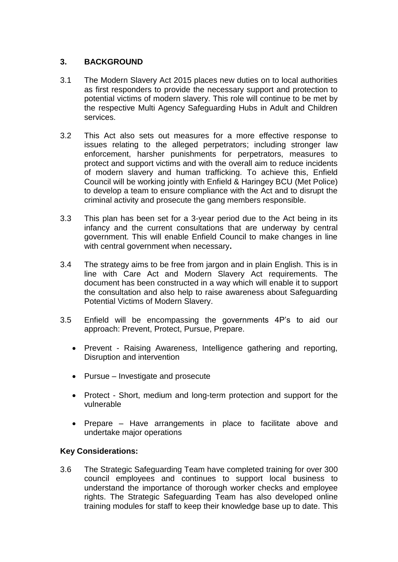### **3. BACKGROUND**

- 3.1 The Modern Slavery Act 2015 places new duties on to local authorities as first responders to provide the necessary support and protection to potential victims of modern slavery. This role will continue to be met by the respective Multi Agency Safeguarding Hubs in Adult and Children services.
- 3.2 This Act also sets out measures for a more effective response to issues relating to the alleged perpetrators; including stronger law enforcement, harsher punishments for perpetrators, measures to protect and support victims and with the overall aim to reduce incidents of modern slavery and human trafficking. To achieve this, Enfield Council will be working jointly with Enfield & Haringey BCU (Met Police) to develop a team to ensure compliance with the Act and to disrupt the criminal activity and prosecute the gang members responsible.
- 3.3 This plan has been set for a 3-year period due to the Act being in its infancy and the current consultations that are underway by central government. This will enable Enfield Council to make changes in line with central government when necessary**.**
- 3.4 The strategy aims to be free from jargon and in plain English. This is in line with Care Act and Modern Slavery Act requirements. The document has been constructed in a way which will enable it to support the consultation and also help to raise awareness about Safeguarding Potential Victims of Modern Slavery.
- 3.5 Enfield will be encompassing the governments 4P's to aid our approach: Prevent, Protect, Pursue, Prepare.
	- Prevent Raising Awareness, Intelligence gathering and reporting, Disruption and intervention
	- Pursue Investigate and prosecute
	- Protect Short, medium and long-term protection and support for the vulnerable
	- Prepare Have arrangements in place to facilitate above and undertake major operations

#### **Key Considerations:**

3.6 The Strategic Safeguarding Team have completed training for over 300 council employees and continues to support local business to understand the importance of thorough worker checks and employee rights. The Strategic Safeguarding Team has also developed online training modules for staff to keep their knowledge base up to date. This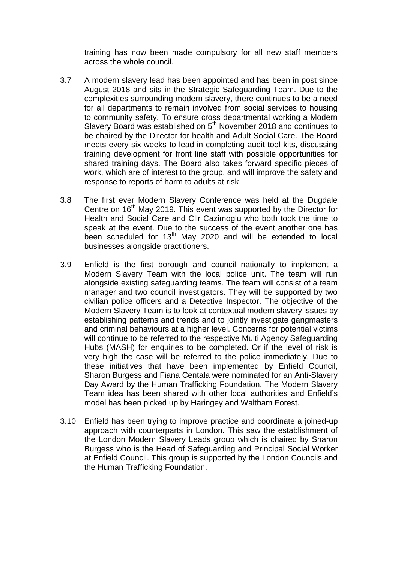training has now been made compulsory for all new staff members across the whole council.

- 3.7 A modern slavery lead has been appointed and has been in post since August 2018 and sits in the Strategic Safeguarding Team. Due to the complexities surrounding modern slavery, there continues to be a need for all departments to remain involved from social services to housing to community safety. To ensure cross departmental working a Modern Slavery Board was established on  $5<sup>th</sup>$  November 2018 and continues to be chaired by the Director for health and Adult Social Care. The Board meets every six weeks to lead in completing audit tool kits, discussing training development for front line staff with possible opportunities for shared training days. The Board also takes forward specific pieces of work, which are of interest to the group, and will improve the safety and response to reports of harm to adults at risk.
- 3.8 The first ever Modern Slavery Conference was held at the Dugdale Centre on 16<sup>th</sup> May 2019. This event was supported by the Director for Health and Social Care and Cllr Cazimoglu who both took the time to speak at the event. Due to the success of the event another one has been scheduled for  $13<sup>th</sup>$  May 2020 and will be extended to local businesses alongside practitioners.
- 3.9 Enfield is the first borough and council nationally to implement a Modern Slavery Team with the local police unit. The team will run alongside existing safeguarding teams. The team will consist of a team manager and two council investigators. They will be supported by two civilian police officers and a Detective Inspector. The objective of the Modern Slavery Team is to look at contextual modern slavery issues by establishing patterns and trends and to jointly investigate gangmasters and criminal behaviours at a higher level. Concerns for potential victims will continue to be referred to the respective Multi Agency Safeguarding Hubs (MASH) for enquiries to be completed. Or if the level of risk is very high the case will be referred to the police immediately. Due to these initiatives that have been implemented by Enfield Council, Sharon Burgess and Fiana Centala were nominated for an Anti-Slavery Day Award by the Human Trafficking Foundation. The Modern Slavery Team idea has been shared with other local authorities and Enfield's model has been picked up by Haringey and Waltham Forest.
- 3.10 Enfield has been trying to improve practice and coordinate a joined-up approach with counterparts in London. This saw the establishment of the London Modern Slavery Leads group which is chaired by Sharon Burgess who is the Head of Safeguarding and Principal Social Worker at Enfield Council. This group is supported by the London Councils and the Human Trafficking Foundation.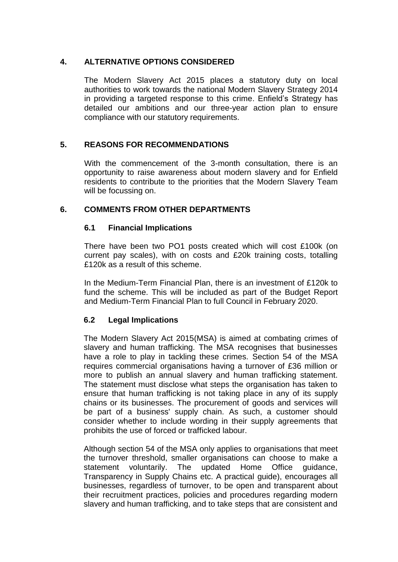### **4. ALTERNATIVE OPTIONS CONSIDERED**

The Modern Slavery Act 2015 places a statutory duty on local authorities to work towards the national Modern Slavery Strategy 2014 in providing a targeted response to this crime. Enfield's Strategy has detailed our ambitions and our three-year action plan to ensure compliance with our statutory requirements.

# **5. REASONS FOR RECOMMENDATIONS**

With the commencement of the 3-month consultation, there is an opportunity to raise awareness about modern slavery and for Enfield residents to contribute to the priorities that the Modern Slavery Team will be focussing on.

#### **6. COMMENTS FROM OTHER DEPARTMENTS**

#### **6.1 Financial Implications**

There have been two PO1 posts created which will cost £100k (on current pay scales), with on costs and £20k training costs, totalling £120k as a result of this scheme.

In the Medium-Term Financial Plan, there is an investment of £120k to fund the scheme. This will be included as part of the Budget Report and Medium-Term Financial Plan to full Council in February 2020.

# **6.2 Legal Implications**

The Modern Slavery Act 2015(MSA) is aimed at combating crimes of slavery and human trafficking. The MSA recognises that businesses have a role to play in tackling these crimes. Section 54 of the MSA requires commercial organisations having a turnover of £36 million or more to publish an annual slavery and human trafficking statement. The statement must disclose what steps the organisation has taken to ensure that human trafficking is not taking place in any of its supply chains or its businesses. The procurement of goods and services will be part of a business' supply chain. As such, a customer should consider whether to include wording in their supply agreements that prohibits the use of forced or trafficked labour.

Although section 54 of the MSA only applies to organisations that meet the turnover threshold, smaller organisations can choose to make a statement voluntarily. The updated Home Office guidance, Transparency in Supply Chains etc. A practical guide), encourages all businesses, regardless of turnover, to be open and transparent about their recruitment practices, policies and procedures regarding modern slavery and human trafficking, and to take steps that are consistent and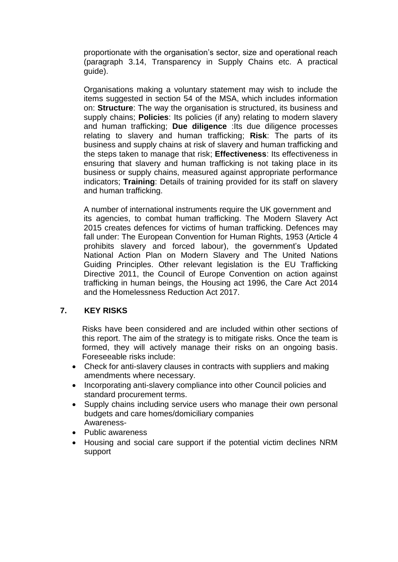proportionate with the organisation's sector, size and operational reach (paragraph 3.14, Transparency in Supply Chains etc. A practical guide).

Organisations making a voluntary statement may wish to include the items suggested in section 54 of the MSA, which includes information on: **Structure**: The way the organisation is structured, its business and supply chains; **Policies**: Its policies (if any) relating to modern slavery and human trafficking; **Due diligence** :Its due diligence processes relating to slavery and human trafficking; **Risk**: The parts of its business and supply chains at risk of slavery and human trafficking and the steps taken to manage that risk; **Effectiveness**: Its effectiveness in ensuring that slavery and human trafficking is not taking place in its business or supply chains, measured against appropriate performance indicators; **Training**: Details of training provided for its staff on slavery and human trafficking.

A number of international instruments require the UK government and its agencies, to combat human trafficking. The Modern Slavery Act 2015 creates defences for victims of human trafficking. Defences may fall under: The European Convention for Human Rights, 1953 (Article 4 prohibits slavery and forced labour), the government's Updated National Action Plan on Modern Slavery and The United Nations Guiding Principles. Other relevant legislation is the EU Trafficking Directive 2011, the Council of Europe Convention on action against trafficking in human beings, the Housing act 1996, the Care Act 2014 and the Homelessness Reduction Act 2017.

#### **7. KEY RISKS**

Risks have been considered and are included within other sections of this report. The aim of the strategy is to mitigate risks. Once the team is formed, they will actively manage their risks on an ongoing basis. Foreseeable risks include:

- Check for anti-slavery clauses in contracts with suppliers and making amendments where necessary.
- Incorporating anti-slavery compliance into other Council policies and standard procurement terms.
- Supply chains including service users who manage their own personal budgets and care homes/domiciliary companies Awareness-
- Public awareness
- Housing and social care support if the potential victim declines NRM support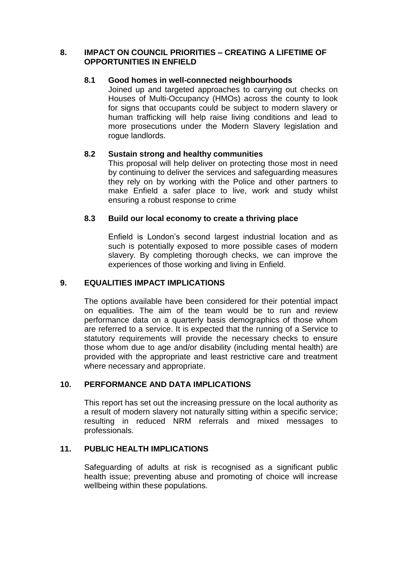#### **8. IMPACT ON COUNCIL PRIORITIES – CREATING A LIFETIME OF OPPORTUNITIES IN ENFIELD**

# **8.1 Good homes in well-connected neighbourhoods**

Joined up and targeted approaches to carrying out checks on Houses of Multi-Occupancy (HMOs) across the county to look for signs that occupants could be subject to modern slavery or human trafficking will help raise living conditions and lead to more prosecutions under the Modern Slavery legislation and roque landlords.

# **8.2 Sustain strong and healthy communities**

This proposal will help deliver on protecting those most in need by continuing to deliver the services and safeguarding measures they rely on by working with the Police and other partners to make Enfield a safer place to live, work and study whilst ensuring a robust response to crime

# **8.3 Build our local economy to create a thriving place**

Enfield is London's second largest industrial location and as such is potentially exposed to more possible cases of modern slavery. By completing thorough checks, we can improve the experiences of those working and living in Enfield.

# **9. EQUALITIES IMPACT IMPLICATIONS**

The options available have been considered for their potential impact on equalities. The aim of the team would be to run and review performance data on a quarterly basis demographics of those whom are referred to a service. It is expected that the running of a Service to statutory requirements will provide the necessary checks to ensure those whom due to age and/or disability (including mental health) are provided with the appropriate and least restrictive care and treatment where necessary and appropriate.

# **10. PERFORMANCE AND DATA IMPLICATIONS**

This report has set out the increasing pressure on the local authority as a result of modern slavery not naturally sitting within a specific service; resulting in reduced NRM referrals and mixed messages to professionals.

# **11. PUBLIC HEALTH IMPLICATIONS**

Safeguarding of adults at risk is recognised as a significant public health issue; preventing abuse and promoting of choice will increase wellbeing within these populations.